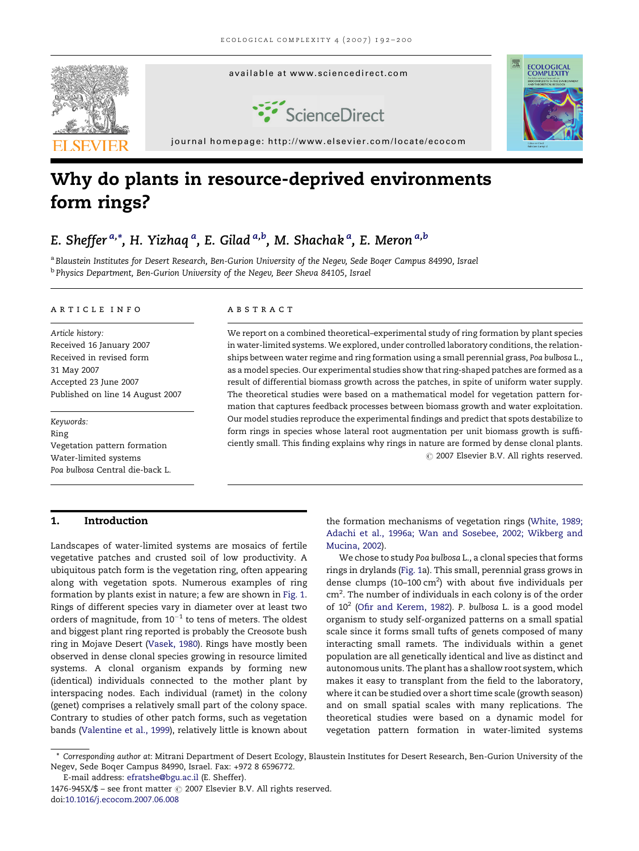

# Why do plants in resource-deprived environments form rings?

## E. Sheffer <sup>a,</sup>\*, H. Yizhaq <sup>a</sup>, E. Gilad <sup>a,b</sup>, M. Shachak <sup>a</sup>, E. Meron <sup>a,b</sup>

a Blaustein Institutes for Desert Research, Ben-Gurion University of the Negev, Sede Boger Campus 84990, Israel <sup>b</sup> Physics Department, Ben-Gurion University of the Negev, Beer Sheva 84105, Israel

#### article info

Article history: Received 16 January 2007 Received in revised form 31 May 2007 Accepted 23 June 2007 Published on line 14 August 2007

Keywords: Ring Vegetation pattern formation Water-limited systems Poa bulbosa Central die-back L.

## 1. Introduction

Landscapes of water-limited systems are mosaics of fertile vegetative patches and crusted soil of low productivity. A ubiquitous patch form is the vegetation ring, often appearing along with vegetation spots. Numerous examples of ring formation by plants exist in nature; a few are shown in [Fig. 1](#page-1-0). Rings of different species vary in diameter over at least two orders of magnitude, from  $10^{-1}$  to tens of meters. The oldest and biggest plant ring reported is probably the Creosote bush ring in Mojave Desert [\(Vasek, 1980](#page-7-0)). Rings have mostly been observed in dense clonal species growing in resource limited systems. A clonal organism expands by forming new (identical) individuals connected to the mother plant by interspacing nodes. Each individual (ramet) in the colony (genet) comprises a relatively small part of the colony space. Contrary to studies of other patch forms, such as vegetation bands ([Valentine et al., 1999](#page-7-0)), relatively little is known about

## **ABSTRACT**

We report on a combined theoretical–experimental study of ring formation by plant species in water-limited systems. We explored, under controlled laboratory conditions, the relationships between water regime and ring formation using a small perennial grass, Poa bulbosa L., as a model species. Our experimental studies show that ring-shaped patches are formed as a result of differential biomass growth across the patches, in spite of uniform water supply. The theoretical studies were based on a mathematical model for vegetation pattern formation that captures feedback processes between biomass growth and water exploitation. Our model studies reproduce the experimental findings and predict that spots destabilize to form rings in species whose lateral root augmentation per unit biomass growth is sufficiently small. This finding explains why rings in nature are formed by dense clonal plants.  $\odot$  2007 Elsevier B.V. All rights reserved.

> the formation mechanisms of vegetation rings ([White, 1989;](#page-8-0) [Adachi et al., 1996a; Wan and Sosebee, 2002; Wikberg and](#page-8-0) [Mucina, 2002\)](#page-8-0).

> We chose to study Poa bulbosa L., a clonal species that forms rings in drylands ([Fig. 1a](#page-1-0)). This small, perennial grass grows in dense clumps (10-100  $\text{cm}^2$ ) with about five individuals per cm<sup>2</sup>. The number of individuals in each colony is of the order of 102 ([Ofir and Kerem, 1982\)](#page-7-0). P. bulbosa L. is a good model organism to study self-organized patterns on a small spatial scale since it forms small tufts of genets composed of many interacting small ramets. The individuals within a genet population are all genetically identical and live as distinct and autonomous units. The plant has a shallow root system, which makes it easy to transplant from the field to the laboratory, where it can be studied over a short time scale (growth season) and on small spatial scales with many replications. The theoretical studies were based on a dynamic model for vegetation pattern formation in water-limited systems

E-mail address: [efratshe@bgu.ac.il](mailto:efratshe@bgu.ac.il) (E. Sheffer).

<sup>\*</sup> Corresponding author at: Mitrani Department of Desert Ecology, Blaustein Institutes for Desert Research, Ben-Gurion University of the Negev, Sede Boqer Campus 84990, Israel. Fax: +972 8 6596772.

 $1476-945X/\$$  – see front matter  $\odot$  2007 Elsevier B.V. All rights reserved. doi:[10.1016/j.ecocom.2007.06.008](http://dx.doi.org/10.1016/j.ecocom.2007.06.008)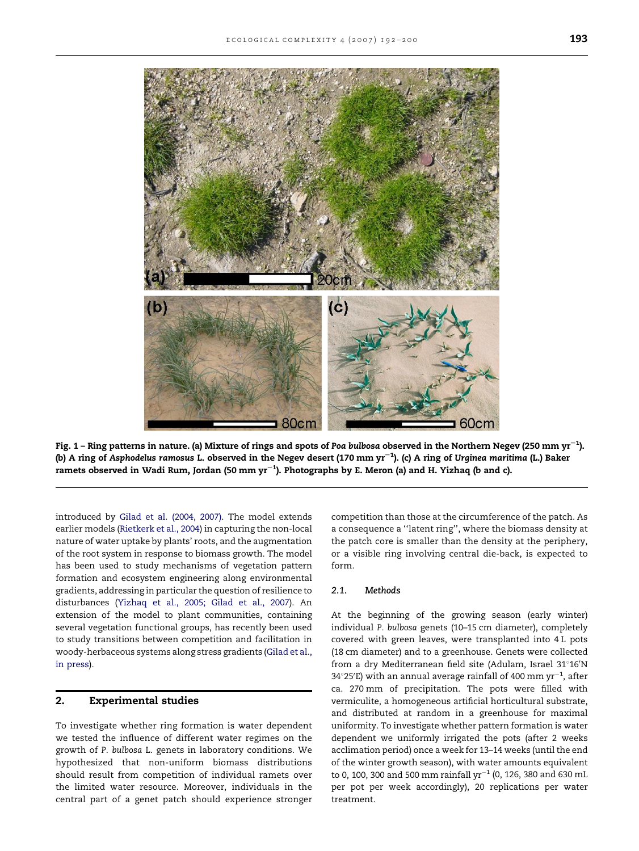<span id="page-1-0"></span>

Fig. 1 – Ring patterns in nature. (a) Mixture of rings and spots of Poa bulbosa observed in the Northern Negev (250 mm yr $^{-1}$ ). (b) A ring of Asphodelus ramosus L. observed in the Negev desert (170 mm yr $^{-1}$ ). (c) A ring of Urginea maritima (L.) Baker ramets observed in Wadi Rum, Jordan (50 mm yr $^{-1}$ ). Photographs by E. Meron (a) and H. Yizhaq (b and c).

introduced by [Gilad et al. \(2004, 2007\).](#page-7-0) The model extends earlier models ([Rietkerk et al., 2004](#page-7-0)) in capturing the non-local nature of water uptake by plants' roots, and the augmentation of the root system in response to biomass growth. The model has been used to study mechanisms of vegetation pattern formation and ecosystem engineering along environmental gradients, addressing in particular the question of resilience to disturbances ([Yizhaq et al., 2005; Gilad et al., 2007\)](#page-8-0). An extension of the model to plant communities, containing several vegetation functional groups, has recently been used to study transitions between competition and facilitation in woody-herbaceous systems along stress gradients ([Gilad et al.,](#page-7-0) [in press\)](#page-7-0).

## 2. Experimental studies

To investigate whether ring formation is water dependent we tested the influence of different water regimes on the growth of P. bulbosa L. genets in laboratory conditions. We hypothesized that non-uniform biomass distributions should result from competition of individual ramets over the limited water resource. Moreover, individuals in the central part of a genet patch should experience stronger competition than those at the circumference of the patch. As a consequence a ''latent ring'', where the biomass density at the patch core is smaller than the density at the periphery, or a visible ring involving central die-back, is expected to form.

## 2.1. Methods

At the beginning of the growing season (early winter) individual P. bulbosa genets (10–15 cm diameter), completely covered with green leaves, were transplanted into 4 L pots (18 cm diameter) and to a greenhouse. Genets were collected from a dry Mediterranean field site (Adulam, Israel 31°16'N 34°25′E) with an annual average rainfall of 400 mm  $\rm{yr}^{-1}$ , after ca. 270 mm of precipitation. The pots were filled with vermiculite, a homogeneous artificial horticultural substrate, and distributed at random in a greenhouse for maximal uniformity. To investigate whether pattern formation is water dependent we uniformly irrigated the pots (after 2 weeks acclimation period) once a week for 13–14 weeks (until the end of the winter growth season), with water amounts equivalent to 0, 100, 300 and 500 mm rainfall yr $^{-1}$  (0, 126, 380 and 630 mL per pot per week accordingly), 20 replications per water treatment.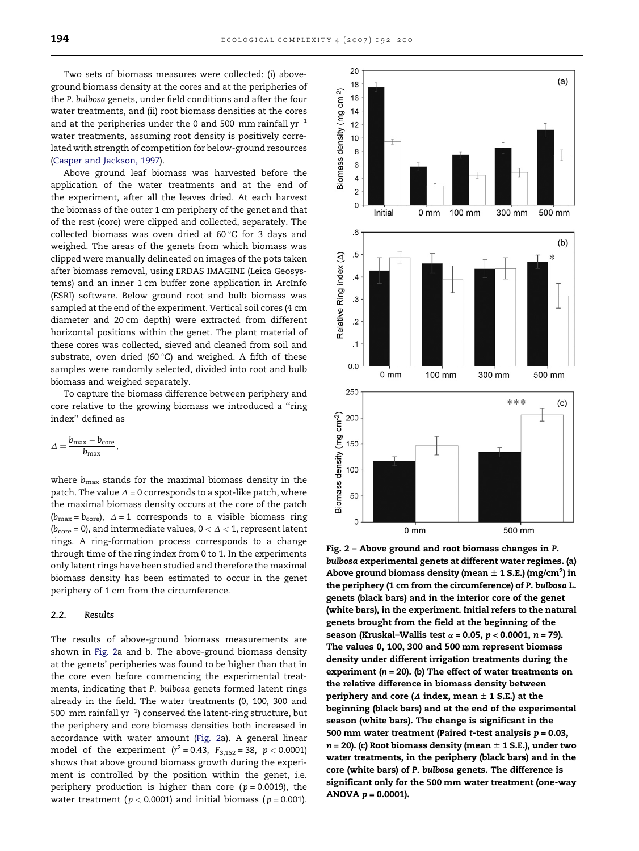<span id="page-2-0"></span>Two sets of biomass measures were collected: (i) aboveground biomass density at the cores and at the peripheries of the P. bulbosa genets, under field conditions and after the four water treatments, and (ii) root biomass densities at the cores and at the peripheries under the 0 and 500 mm rainfall  $yr^{-1}$ water treatments, assuming root density is positively correlated with strength of competition for below-ground resources ([Casper and Jackson, 1997\)](#page-7-0).

Above ground leaf biomass was harvested before the application of the water treatments and at the end of the experiment, after all the leaves dried. At each harvest the biomass of the outer 1 cm periphery of the genet and that of the rest (core) were clipped and collected, separately. The collected biomass was oven dried at 60 $\degree$ C for 3 days and weighed. The areas of the genets from which biomass was clipped were manually delineated on images of the pots taken after biomass removal, using ERDAS IMAGINE (Leica Geosystems) and an inner 1 cm buffer zone application in ArcInfo (ESRI) software. Below ground root and bulb biomass was sampled at the end of the experiment. Vertical soil cores (4 cm diameter and 20 cm depth) were extracted from different horizontal positions within the genet. The plant material of these cores was collected, sieved and cleaned from soil and substrate, oven dried (60 $^{\circ}$ C) and weighed. A fifth of these samples were randomly selected, divided into root and bulb biomass and weighed separately.

To capture the biomass difference between periphery and core relative to the growing biomass we introduced a ''ring index'' defined as

$$
\varDelta=\frac{b_{\max}-b_{\text{core}}}{b_{\max}},
$$

where  $b_{\text{max}}$  stands for the maximal biomass density in the patch. The value  $\Delta$  = 0 corresponds to a spot-like patch, where the maximal biomass density occurs at the core of the patch  $(b_{\text{max}} = b_{\text{core}})$ ,  $\Delta = 1$  corresponds to a visible biomass ring ( $b_{\text{core}} = 0$ ), and intermediate values,  $0 < \Delta < 1$ , represent latent rings. A ring-formation process corresponds to a change through time of the ring index from 0 to 1. In the experiments only latent rings have been studied and therefore the maximal biomass density has been estimated to occur in the genet periphery of 1 cm from the circumference.

#### 2.2. Results

The results of above-ground biomass measurements are shown in Fig. 2a and b. The above-ground biomass density at the genets' peripheries was found to be higher than that in the core even before commencing the experimental treatments, indicating that P. bulbosa genets formed latent rings already in the field. The water treatments (0, 100, 300 and 500  $\,$ mm rainfall $\,$ yr $^{-1}$ ) conserved the latent-ring structure, but the periphery and core biomass densities both increased in accordance with water amount (Fig. 2a). A general linear model of the experiment ( $r^2 = 0.43$ ,  $F_{3,152} = 38$ ,  $p < 0.0001$ ) shows that above ground biomass growth during the experiment is controlled by the position within the genet, i.e. periphery production is higher than core ( $p = 0.0019$ ), the water treatment ( $p < 0.0001$ ) and initial biomass ( $p = 0.001$ ).



Fig. 2 – Above ground and root biomass changes in P. bulbosa experimental genets at different water regimes. (a) Above ground biomass density (mean  $\pm$  1 S.E.) (mg/cm $^2$ ) in the periphery (1 cm from the circumference) of P. bulbosa L. genets (black bars) and in the interior core of the genet (white bars), in the experiment. Initial refers to the natural genets brought from the field at the beginning of the season (Kruskal–Wallis test  $\alpha$  = 0.05,  $p$  < 0.0001,  $n$  = 79). The values 0, 100, 300 and 500 mm represent biomass density under different irrigation treatments during the experiment ( $n = 20$ ). (b) The effect of water treatments on the relative difference in biomass density between periphery and core ( $\Delta$  index, mean  $\pm$  1 S.E.) at the beginning (black bars) and at the end of the experimental season (white bars). The change is significant in the 500 mm water treatment (Paired t-test analysis  $p = 0.03$ ,  $n = 20$ ). (c) Root biomass density (mean  $\pm$  1 S.E.), under two water treatments, in the periphery (black bars) and in the core (white bars) of P. bulbosa genets. The difference is significant only for the 500 mm water treatment (one-way ANOVA  $p = 0.0001$ ).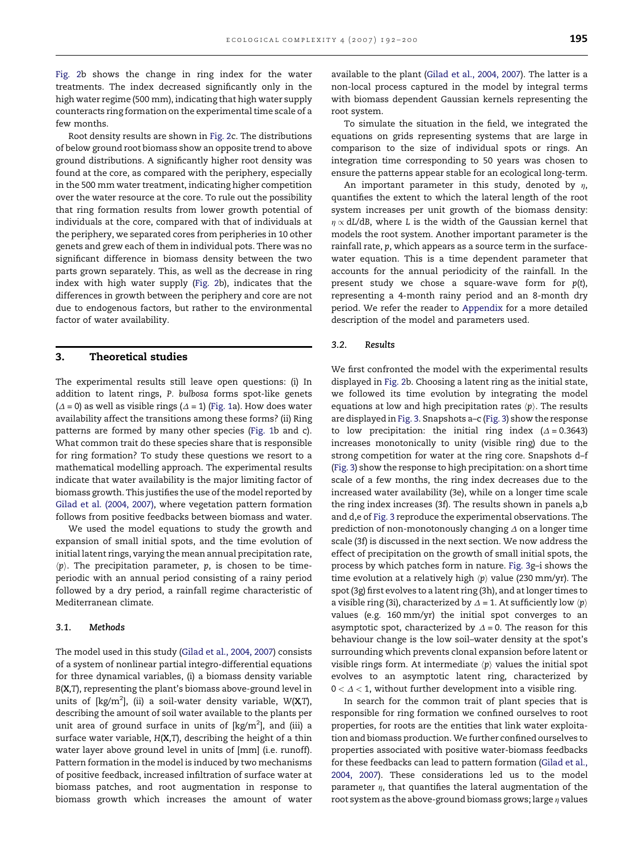[Fig. 2b](#page-2-0) shows the change in ring index for the water treatments. The index decreased significantly only in the high water regime (500 mm), indicating that high water supply counteracts ring formation on the experimental time scale of a few months.

Root density results are shown in [Fig. 2c](#page-2-0). The distributions of below ground root biomass show an opposite trend to above ground distributions. A significantly higher root density was found at the core, as compared with the periphery, especially in the 500 mm water treatment, indicating higher competition over the water resource at the core. To rule out the possibility that ring formation results from lower growth potential of individuals at the core, compared with that of individuals at the periphery, we separated cores from peripheries in 10 other genets and grew each of them in individual pots. There was no significant difference in biomass density between the two parts grown separately. This, as well as the decrease in ring index with high water supply ([Fig. 2](#page-2-0)b), indicates that the differences in growth between the periphery and core are not due to endogenous factors, but rather to the environmental factor of water availability.

## 3. Theoretical studies

The experimental results still leave open questions: (i) In addition to latent rings, P. bulbosa forms spot-like genets  $(\Delta = 0)$  as well as visible rings ( $\Delta = 1$ ) ([Fig. 1a](#page-1-0)). How does water availability affect the transitions among these forms? (ii) Ring patterns are formed by many other species ([Fig. 1](#page-1-0)b and c). What common trait do these species share that is responsible for ring formation? To study these questions we resort to a mathematical modelling approach. The experimental results indicate that water availability is the major limiting factor of biomass growth. This justifies the use of the model reported by [Gilad et al. \(2004, 2007\)](#page-7-0), where vegetation pattern formation follows from positive feedbacks between biomass and water.

We used the model equations to study the growth and expansion of small initial spots, and the time evolution of initial latent rings, varying the mean annual precipitation rate,  $\langle p \rangle$ . The precipitation parameter, p, is chosen to be timeperiodic with an annual period consisting of a rainy period followed by a dry period, a rainfall regime characteristic of Mediterranean climate.

## 3.1. Methods

The model used in this study ([Gilad et al., 2004, 2007\)](#page-7-0) consists of a system of nonlinear partial integro-differential equations for three dynamical variables, (i) a biomass density variable B(X,T), representing the plant's biomass above-ground level in units of [kg/m $^2$ ], (ii) a soil-water density variable, W(**X**,T), describing the amount of soil water available to the plants per unit area of ground surface in units of [kg/m $^2$ ], and (iii) a surface water variable,  $H(X,T)$ , describing the height of a thin water layer above ground level in units of [mm] (i.e. runoff). Pattern formation in the model is induced by two mechanisms of positive feedback, increased infiltration of surface water at biomass patches, and root augmentation in response to biomass growth which increases the amount of water available to the plant ([Gilad et al., 2004, 2007](#page-7-0)). The latter is a non-local process captured in the model by integral terms with biomass dependent Gaussian kernels representing the root system.

To simulate the situation in the field, we integrated the equations on grids representing systems that are large in comparison to the size of individual spots or rings. An integration time corresponding to 50 years was chosen to ensure the patterns appear stable for an ecological long-term.

An important parameter in this study, denoted by  $\eta$ , quantifies the extent to which the lateral length of the root system increases per unit growth of the biomass density:  $\eta \propto dL/dB$ , where L is the width of the Gaussian kernel that models the root system. Another important parameter is the rainfall rate, p, which appears as a source term in the surfacewater equation. This is a time dependent parameter that accounts for the annual periodicity of the rainfall. In the present study we chose a square-wave form for  $p(t)$ , representing a 4-month rainy period and an 8-month dry period. We refer the reader to [Appendix](#page-5-0) for a more detailed description of the model and parameters used.

## 3.2. Results

We first confronted the model with the experimental results displayed in [Fig. 2b](#page-2-0). Choosing a latent ring as the initial state, we followed its time evolution by integrating the model equations at low and high precipitation rates  $\langle p \rangle$ . The results are displayed in [Fig. 3](#page-4-0). Snapshots a–c ([Fig. 3](#page-4-0)) show the response to low precipitation: the initial ring index  $(\Delta = 0.3643)$ increases monotonically to unity (visible ring) due to the strong competition for water at the ring core. Snapshots d–f [\(Fig. 3\)](#page-4-0) show the response to high precipitation: on a short time scale of a few months, the ring index decreases due to the increased water availability (3e), while on a longer time scale the ring index increases (3f). The results shown in panels a,b and d,e of [Fig. 3](#page-4-0) reproduce the experimental observations. The prediction of non-monotonously changing  $\Delta$  on a longer time scale (3f) is discussed in the next section. We now address the effect of precipitation on the growth of small initial spots, the process by which patches form in nature. [Fig. 3g](#page-4-0)–i shows the time evolution at a relatively high  $\langle p \rangle$  value (230 mm/yr). The spot (3g) first evolves to a latent ring (3h), and at longer times to a visible ring (3i), characterized by  $\Delta = 1$ . At sufficiently low  $\langle p \rangle$ values (e.g. 160 mm/yr) the initial spot converges to an asymptotic spot, characterized by  $\Delta = 0$ . The reason for this behaviour change is the low soil–water density at the spot's surrounding which prevents clonal expansion before latent or visible rings form. At intermediate  $\langle p \rangle$  values the initial spot evolves to an asymptotic latent ring, characterized by  $0 < \Delta < 1$ , without further development into a visible ring.

In search for the common trait of plant species that is responsible for ring formation we confined ourselves to root properties, for roots are the entities that link water exploitation and biomass production. We further confined ourselves to properties associated with positive water-biomass feedbacks for these feedbacks can lead to pattern formation ([Gilad et al.,](#page-7-0) [2004, 2007\)](#page-7-0). These considerations led us to the model parameter  $\eta$ , that quantifies the lateral augmentation of the root system as the above-ground biomass grows; large  $\eta$  values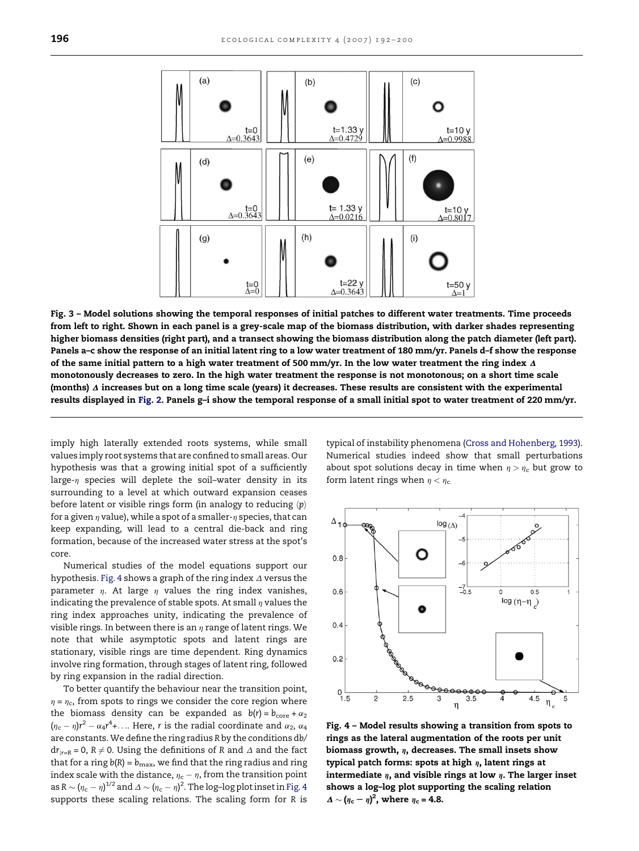<span id="page-4-0"></span>

Fig. 3 – Model solutions showing the temporal responses of initial patches to different water treatments. Time proceeds from left to right. Shown in each panel is a grey-scale map of the biomass distribution, with darker shades representing higher biomass densities (right part), and a transect showing the biomass distribution along the patch diameter (left part). Panels a–c show the response of an initial latent ring to a low water treatment of 180 mm/yr. Panels d–f show the response of the same initial pattern to a high water treatment of 500 mm/yr. In the low water treatment the ring index  $\Delta$ monotonously decreases to zero. In the high water treatment the response is not monotonous; on a short time scale (months)  $\Delta$  increases but on a long time scale (years) it decreases. These results are consistent with the experimental results displayed in [Fig. 2.](#page-2-0) Panels g–i show the temporal response of a small initial spot to water treatment of 220 mm/yr.

imply high laterally extended roots systems, while small values imply root systems that are confined to small areas. Our hypothesis was that a growing initial spot of a sufficiently large- $\eta$  species will deplete the soil–water density in its surrounding to a level at which outward expansion ceases before latent or visible rings form (in analogy to reducing  $\langle p \rangle$ for a given  $\eta$  value), while a spot of a smaller- $\eta$  species, that can keep expanding, will lead to a central die-back and ring formation, because of the increased water stress at the spot's core.

Numerical studies of the model equations support our hypothesis. Fig. 4 shows a graph of the ring index  $\Delta$  versus the parameter  $\eta$ . At large  $\eta$  values the ring index vanishes, indicating the prevalence of stable spots. At small  $\eta$  values the ring index approaches unity, indicating the prevalence of visible rings. In between there is an  $\eta$  range of latent rings. We note that while asymptotic spots and latent rings are stationary, visible rings are time dependent. Ring dynamics involve ring formation, through stages of latent ring, followed by ring expansion in the radial direction.

To better quantify the behaviour near the transition point,  $\eta = \eta_c$ , from spots to rings we consider the core region where the biomass density can be expanded as  $b(r) = b_{\text{core}} + \alpha_2$  $(\eta_c - \eta) r^2 - \alpha_4 r^4 + \dots$  Here, r is the radial coordinate and  $\alpha_2$ ,  $\alpha_4$ are constants. We define the ring radius R by the conditions db/  $dr_{\vert r=R} = 0$ ,  $R \neq 0$ . Using the definitions of R and  $\Delta$  and the fact that for a ring  $b(R) = b_{\text{max}}$ , we find that the ring radius and ring index scale with the distance,  $\eta_{\rm c}$  –  $\eta$ , from the transition point as R  $\sim$   $(\eta_{\rm c} - \eta)^{1/2}$  and  $\varDelta \sim (\eta_{\rm c} - \eta)^2$ . The log–log plot inset in Fig. 4 supports these scaling relations. The scaling form for R is typical of instability phenomena [\(Cross and Hohenberg, 1993\)](#page-7-0). Numerical studies indeed show that small perturbations about spot solutions decay in time when  $\eta > \eta_c$  but grow to form latent rings when  $\eta < \eta_c$ .



Fig. 4 – Model results showing a transition from spots to rings as the lateral augmentation of the roots per unit biomass growth,  $\eta$ , decreases. The small insets show typical patch forms: spots at high  $\eta$ , latent rings at intermediate  $\eta$ , and visible rings at low  $\eta$ . The larger inset shows a log–log plot supporting the scaling relation  $\Delta \sim (\eta_c - \eta)^2$ , where  $\eta_c = 4.8$ .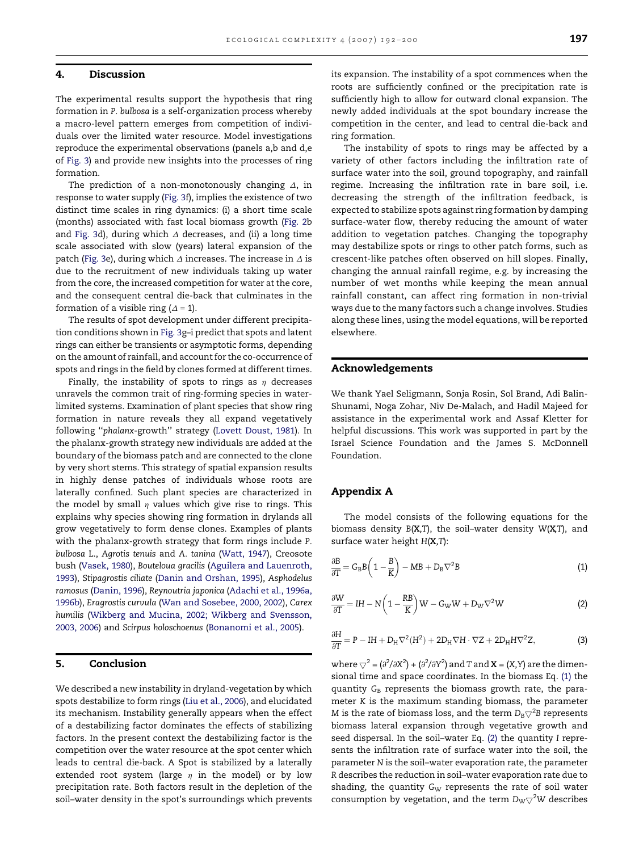## <span id="page-5-0"></span>4. Discussion

The experimental results support the hypothesis that ring formation in P. bulbosa is a self-organization process whereby a macro-level pattern emerges from competition of individuals over the limited water resource. Model investigations reproduce the experimental observations (panels a,b and d,e of [Fig. 3\)](#page-4-0) and provide new insights into the processes of ring formation.

The prediction of a non-monotonously changing  $\Delta$ , in response to water supply [\(Fig. 3](#page-4-0)f), implies the existence of two distinct time scales in ring dynamics: (i) a short time scale (months) associated with fast local biomass growth ([Fig. 2](#page-2-0)b and [Fig. 3](#page-4-0)d), during which  $\Delta$  decreases, and (ii) a long time scale associated with slow (years) lateral expansion of the patch ([Fig. 3e](#page-4-0)), during which  $\Delta$  increases. The increase in  $\Delta$  is due to the recruitment of new individuals taking up water from the core, the increased competition for water at the core, and the consequent central die-back that culminates in the formation of a visible ring  $(\Delta = 1)$ .

The results of spot development under different precipitation conditions shown in [Fig. 3](#page-4-0)g–i predict that spots and latent rings can either be transients or asymptotic forms, depending on the amount of rainfall, and account for the co-occurrence of spots and rings in the field by clones formed at different times.

Finally, the instability of spots to rings as  $\eta$  decreases unravels the common trait of ring-forming species in waterlimited systems. Examination of plant species that show ring formation in nature reveals they all expand vegetatively following ''phalanx-growth'' strategy [\(Lovett Doust, 1981\)](#page-7-0). In the phalanx-growth strategy new individuals are added at the boundary of the biomass patch and are connected to the clone by very short stems. This strategy of spatial expansion results in highly dense patches of individuals whose roots are laterally confined. Such plant species are characterized in the model by small  $\eta$  values which give rise to rings. This explains why species showing ring formation in drylands all grow vegetatively to form dense clones. Examples of plants with the phalanx-growth strategy that form rings include P. bulbosa L., Agrotis tenuis and A. tanina ([Watt, 1947\)](#page-8-0), Creosote bush ([Vasek, 1980](#page-7-0)), Bouteloua gracilis [\(Aguilera and Lauenroth,](#page-7-0) [1993](#page-7-0)), Stipagrostis ciliate [\(Danin and Orshan, 1995\)](#page-7-0), Asphodelus ramosus ([Danin, 1996](#page-7-0)), Reynoutria japonica ([Adachi et al., 1996a,](#page-7-0) [1996b](#page-7-0)), Eragrostis curvula ([Wan and Sosebee, 2000, 2002](#page-7-0)), Carex humilis [\(Wikberg and Mucina, 2002; Wikberg and Svensson,](#page-8-0) [2003, 2006\)](#page-8-0) and Scirpus holoschoenus [\(Bonanomi et al., 2005\)](#page-7-0).

## 5. Conclusion

We described a new instability in dryland-vegetation by which spots destabilize to form rings ([Liu et al., 2006](#page-7-0)), and elucidated its mechanism. Instability generally appears when the effect of a destabilizing factor dominates the effects of stabilizing factors. In the present context the destabilizing factor is the competition over the water resource at the spot center which leads to central die-back. A Spot is stabilized by a laterally extended root system (large  $\eta$  in the model) or by low precipitation rate. Both factors result in the depletion of the soil–water density in the spot's surroundings which prevents its expansion. The instability of a spot commences when the roots are sufficiently confined or the precipitation rate is sufficiently high to allow for outward clonal expansion. The newly added individuals at the spot boundary increase the competition in the center, and lead to central die-back and ring formation.

The instability of spots to rings may be affected by a variety of other factors including the infiltration rate of surface water into the soil, ground topography, and rainfall regime. Increasing the infiltration rate in bare soil, i.e. decreasing the strength of the infiltration feedback, is expected to stabilize spots against ring formation by damping surface-water flow, thereby reducing the amount of water addition to vegetation patches. Changing the topography may destabilize spots or rings to other patch forms, such as crescent-like patches often observed on hill slopes. Finally, changing the annual rainfall regime, e.g. by increasing the number of wet months while keeping the mean annual rainfall constant, can affect ring formation in non-trivial ways due to the many factors such a change involves. Studies along these lines, using the model equations, will be reported elsewhere.

## Acknowledgements

We thank Yael Seligmann, Sonja Rosin, Sol Brand, Adi Balin-Shunami, Noga Zohar, Niv De-Malach, and Hadil Majeed for assistance in the experimental work and Assaf Kletter for helpful discussions. This work was supported in part by the Israel Science Foundation and the James S. McDonnell Foundation.

## Appendix A

The model consists of the following equations for the biomass density  $B(X,T)$ , the soil-water density  $W(X,T)$ , and surface water height H(X,T):

$$
\frac{\partial B}{\partial T} = G_B B \left( 1 - \frac{B}{K} \right) - MB + D_B \nabla^2 B \tag{1}
$$

$$
\frac{\partial W}{\partial T} = IH - N\left(1 - \frac{RB}{K}\right)W - G_{\rm W}W + D_{\rm W}\nabla^2 W\tag{2}
$$

$$
\frac{\partial H}{\partial T} = P - IH + D_H \nabla^2 (H^2) + 2D_H \nabla H \cdot \nabla Z + 2D_H H \nabla^2 Z,\tag{3}
$$

where  $\bigtriangledown^2 = (\partial^2/\partial X^2) + (\partial^2/\partial Y^2)$  and T and **X** = (X,Y) are the dimensional time and space coordinates. In the biomass Eq. (1) the quantity  $G_B$  represents the biomass growth rate, the parameter K is the maximum standing biomass, the parameter M is the rate of biomass loss, and the term  $D_{\rm B} \bigtriangledown^2$ B represents biomass lateral expansion through vegetative growth and seed dispersal. In the soil–water Eq. (2) the quantity I represents the infiltration rate of surface water into the soil, the parameter N is the soil–water evaporation rate, the parameter R describes the reduction in soil–water evaporation rate due to shading, the quantity  $G_W$  represents the rate of soil water consumption by vegetation, and the term  ${\rm D_W\!\bigtriangledown^2 W}$  describes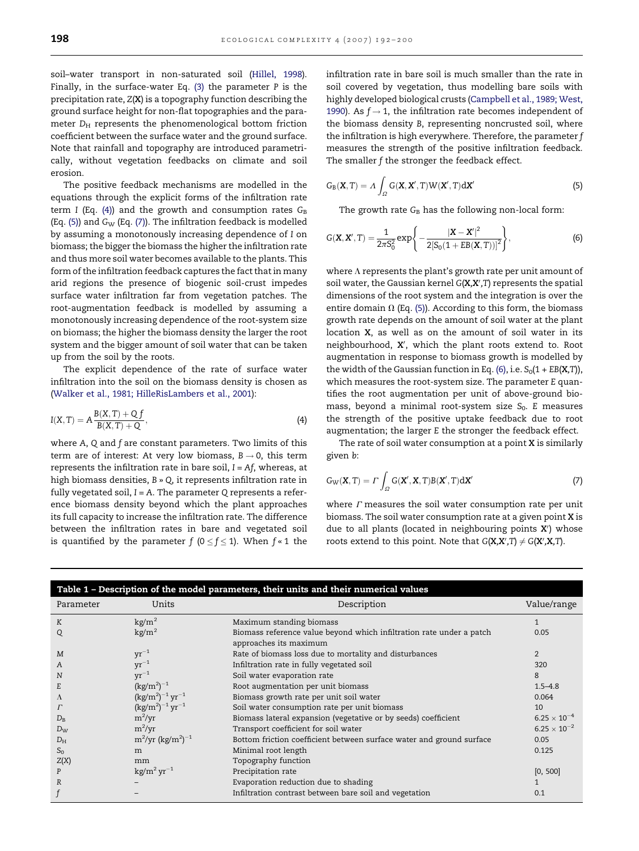<span id="page-6-0"></span>soil–water transport in non-saturated soil ([Hillel, 1998\)](#page-7-0). Finally, in the surface-water Eq. [\(3\)](#page-5-0) the parameter P is the precipitation rate, Z(X) is a topography function describing the ground surface height for non-flat topographies and the parameter  $D_H$  represents the phenomenological bottom friction coefficient between the surface water and the ground surface. Note that rainfall and topography are introduced parametrically, without vegetation feedbacks on climate and soil erosion.

The positive feedback mechanisms are modelled in the equations through the explicit forms of the infiltration rate term I (Eq. (4)) and the growth and consumption rates  $G_B$ (Eq.  $(5)$ ) and  $G_W$  (Eq.  $(7)$ ). The infiltration feedback is modelled by assuming a monotonously increasing dependence of I on biomass; the bigger the biomass the higher the infiltration rate and thus more soil water becomes available to the plants. This form of the infiltration feedback captures the fact that in many arid regions the presence of biogenic soil-crust impedes surface water infiltration far from vegetation patches. The root-augmentation feedback is modelled by assuming a monotonously increasing dependence of the root-system size on biomass; the higher the biomass density the larger the root system and the bigger amount of soil water that can be taken up from the soil by the roots.

The explicit dependence of the rate of surface water infiltration into the soil on the biomass density is chosen as ([Walker et al., 1981; HilleRisLambers et al., 2001\)](#page-7-0):

$$
I(X,T) = A \frac{B(X,T) + Q f}{B(X,T) + Q},
$$
\n(4)

where A, Q and f are constant parameters. Two limits of this term are of interest: At very low biomass,  $B \rightarrow 0$ , this term represents the infiltration rate in bare soil,  $I = Af$ , whereas, at high biomass densities, B » Q, it represents infiltration rate in fully vegetated soil,  $I = A$ . The parameter Q represents a reference biomass density beyond which the plant approaches its full capacity to increase the infiltration rate. The difference between the infiltration rates in bare and vegetated soil is quantified by the parameter  $f$  ( $0 \le f \le 1$ ). When  $f \cdot 1$  the infiltration rate in bare soil is much smaller than the rate in soil covered by vegetation, thus modelling bare soils with highly developed biological crusts ([Campbell et al., 1989; West,](#page-7-0) [1990\)](#page-7-0). As  $f \rightarrow 1$ , the infiltration rate becomes independent of the biomass density B, representing noncrusted soil, where the infiltration is high everywhere. Therefore, the parameter f measures the strength of the positive infiltration feedback. The smaller f the stronger the feedback effect.

$$
G_{B}(\mathbf{X},T) = \Lambda \int_{\Omega} G(\mathbf{X}, \mathbf{X}',T) W(\mathbf{X}',T) d\mathbf{X}'
$$
\n(5)

The growth rate  $G_B$  has the following non-local form:

$$
G(\mathbf{X}, \mathbf{X}', T) = \frac{1}{2\pi S_0^2} \exp\left\{-\frac{|\mathbf{X} - \mathbf{X}'|^2}{2[S_0(1 + EB(\mathbf{X}, T))]^2}\right\},\tag{6}
$$

where  $\Lambda$  represents the plant's growth rate per unit amount of soil water, the Gaussian kernel  $G(X, X', T)$  represents the spatial dimensions of the root system and the integration is over the entire domain  $\Omega$  (Eq. (5)). According to this form, the biomass growth rate depends on the amount of soil water at the plant location X, as well as on the amount of soil water in its neighbourhood, X', which the plant roots extend to. Root augmentation in response to biomass growth is modelled by the width of the Gaussian function in Eq. (6), i.e.  $S_0(1 + EB(X,T))$ , which measures the root-system size. The parameter E quantifies the root augmentation per unit of above-ground biomass, beyond a minimal root-system size  $S_0$ . E measures the strength of the positive uptake feedback due to root augmentation; the larger E the stronger the feedback effect.

The rate of soil water consumption at a point  $X$  is similarly given b:

$$
G_{\rm W}(\mathbf{X},T) = \Gamma \int_{\Omega} G(\mathbf{X}', \mathbf{X}, T) B(\mathbf{X}', T) d\mathbf{X}' \tag{7}
$$

where  $\Gamma$  measures the soil water consumption rate per unit biomass. The soil water consumption rate at a given point X is due to all plants (located in neighbouring points  $X'$ ) whose roots extend to this point. Note that  $G(X,X',T) \neq G(X',X,T)$ .

| Table 1 - Description of the model parameters, their units and their numerical values |                                        |                                                                                                |                       |
|---------------------------------------------------------------------------------------|----------------------------------------|------------------------------------------------------------------------------------------------|-----------------------|
| Parameter                                                                             | Units                                  | Description                                                                                    | Value/range           |
| K                                                                                     | kg/m <sup>2</sup>                      | Maximum standing biomass                                                                       | $\mathbf{1}$          |
| Q                                                                                     | kg/m <sup>2</sup>                      | Biomass reference value beyond which infiltration rate under a patch<br>approaches its maximum | 0.05                  |
| M                                                                                     | $yr^{-1}$                              | Rate of biomass loss due to mortality and disturbances                                         | 2                     |
| A                                                                                     | $yr^{-1}$                              | Infiltration rate in fully vegetated soil                                                      | 320                   |
| N                                                                                     | $yr^{-1}$                              | Soil water evaporation rate                                                                    | 8                     |
| E                                                                                     | $(kg/m^{2})^{-1}$                      | Root augmentation per unit biomass                                                             | $1.5 - 4.8$           |
| Λ                                                                                     | $(kg/m^2)^{-1}$ yr <sup>-1</sup>       | Biomass growth rate per unit soil water                                                        | 0.064                 |
|                                                                                       | $(\text{kg/m}^2)^{-1} \text{ yr}^{-1}$ | Soil water consumption rate per unit biomass                                                   | 10 <sup>1</sup>       |
| $D_{R}$                                                                               | $m^2/yr$                               | Biomass lateral expansion (vegetative or by seeds) coefficient                                 | $6.25 \times 10^{-4}$ |
| $D_W$                                                                                 | $m^2/yr$                               | Transport coefficient for soil water                                                           | $6.25 \times 10^{-2}$ |
| $D_{\rm H}$                                                                           | $\rm m^2/yr~(kg/m^2)^{-1}$             | Bottom friction coefficient between surface water and ground surface                           | 0.05                  |
| $S_0$                                                                                 | m                                      | Minimal root length                                                                            | 0.125                 |
| Z(X)                                                                                  | mm                                     | Topography function                                                                            |                       |
| P                                                                                     | $\mathrm{kg/m^2\,yr^{-1}}$             | Precipitation rate                                                                             | [0, 500]              |
| $\mathbb{R}$                                                                          |                                        | Evaporation reduction due to shading                                                           |                       |
|                                                                                       |                                        | Infiltration contrast between bare soil and vegetation                                         | 0.1                   |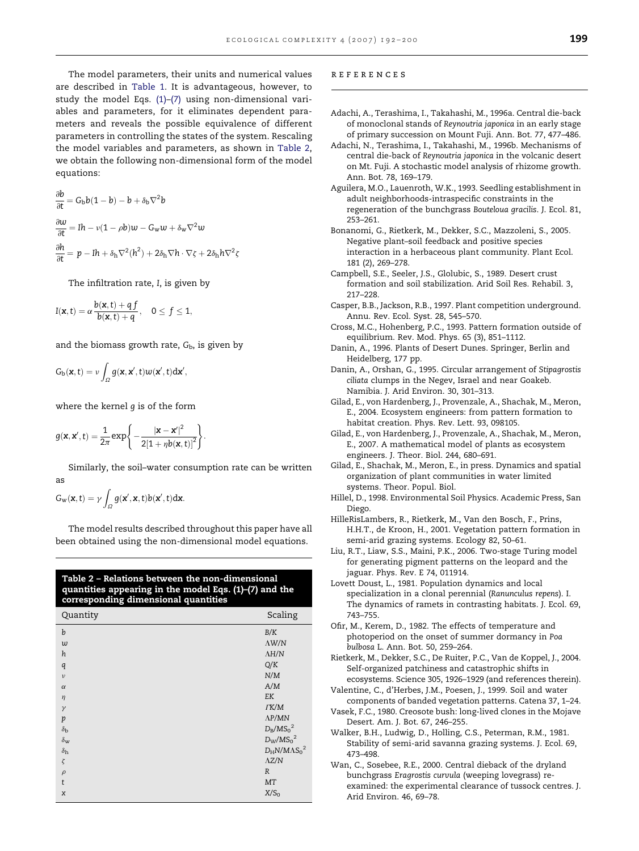<span id="page-7-0"></span>The model parameters, their units and numerical values are described in [Table 1](#page-6-0). It is advantageous, however, to study the model Eqs. [\(1\)](#page-5-0)[–\(7\)](#page-6-0) using non-dimensional variables and parameters, for it eliminates dependent parameters and reveals the possible equivalence of different parameters in controlling the states of the system. Rescaling the model variables and parameters, as shown in Table 2, we obtain the following non-dimensional form of the model equations:

$$
\frac{\partial b}{\partial t} = G_b b (1 - b) - b + \delta_b \nabla^2 b
$$
  

$$
\frac{\partial w}{\partial t} = Ih - v(1 - \rho b)w - G_w w + \delta_w \nabla^2 w
$$
  

$$
\frac{\partial h}{\partial t} = p - Ih + \delta_h \nabla^2 (h^2) + 2\delta_h \nabla h \cdot \nabla \zeta + 2\delta_h h \nabla^2 \zeta
$$

The infiltration rate, I, is given by

$$
I(\boldsymbol{x},t)=\alpha\frac{b(\boldsymbol{x},t)+q\,f}{b(\boldsymbol{x},t)+q},\quad 0\leq\,f\leq1,
$$

and the biomass growth rate,  $G<sub>b</sub>$ , is given by

$$
G_{b}(\mathbf{x},t)=\nu\int_{\Omega}g(\mathbf{x},\mathbf{x}',t)w(\mathbf{x}',t)d\mathbf{x}',
$$

where the kernel g is of the form

$$
g(\mathbf{x}, \mathbf{x}', t) = \frac{1}{2\pi} \exp\left\{-\frac{|\mathbf{x} - \mathbf{x}'|^2}{2[1 + \eta b(\mathbf{x}, t)]^2}\right\}.
$$

Similarly, the soil–water consumption rate can be written as

$$
G_w(\mathbf{x},t)=\gamma\int_{\Omega}g(\mathbf{x}',\mathbf{x},t)b(\mathbf{x}',t)d\mathbf{x}.
$$

The model results described throughout this paper have all been obtained using the non-dimensional model equations.

| Table 2 – Relations between the non-dimensional        |
|--------------------------------------------------------|
| quantities appearing in the model Eqs. (1)-(7) and the |
| corresponding dimensional quantities                   |

| Quantity         | Scaling                         |
|------------------|---------------------------------|
| $\boldsymbol{b}$ | $\rm\,B/K$                      |
| $\upsilon$       | $\Lambda \mathrm{W}/\mathrm{N}$ |
| h                | $\Lambda H/N$                   |
| q                | $\mathbf{Q}/\mathbf{K}$         |
| $\mathcal{V}$    | N/M                             |
| $\alpha$         | A/M                             |
| $\eta$           | EK                              |
| $\gamma$         | $\Gamma{\rm K}/{\rm M}$         |
| p                | $\Lambda P/MN$                  |
| $\delta_{\rm b}$ | $D_B/MS_0^2$                    |
| $\delta_{\rm w}$ | $D_W/M{S_0}^2$                  |
| $\delta_{\rm h}$ | $D_H N/M \Lambda S_0^2$         |
| $\zeta$          | $\Lambda Z/N$                   |
| $\rho$           | R                               |
| t                | MT                              |
| $\chi$           | X/S <sub>0</sub>                |
|                  |                                 |

#### references

- Adachi, A., Terashima, I., Takahashi, M., 1996a. Central die-back of monoclonal stands of Reynoutria japonica in an early stage of primary succession on Mount Fuji. Ann. Bot. 77, 477–486.
- Adachi, N., Terashima, I., Takahashi, M., 1996b. Mechanisms of central die-back of Reynoutria japonica in the volcanic desert on Mt. Fuji. A stochastic model analysis of rhizome growth. Ann. Bot. 78, 169–179.
- Aguilera, M.O., Lauenroth, W.K., 1993. Seedling establishment in adult neighborhoods-intraspecific constraints in the regeneration of the bunchgrass Bouteloua gracilis. J. Ecol. 81, 253–261.
- Bonanomi, G., Rietkerk, M., Dekker, S.C., Mazzoleni, S., 2005. Negative plant–soil feedback and positive species interaction in a herbaceous plant community. Plant Ecol. 181 (2), 269–278.
- Campbell, S.E., Seeler, J.S., Glolubic, S., 1989. Desert crust formation and soil stabilization. Arid Soil Res. Rehabil. 3, 217–228.
- Casper, B.B., Jackson, R.B., 1997. Plant competition underground. Annu. Rev. Ecol. Syst. 28, 545–570.
- Cross, M.C., Hohenberg, P.C., 1993. Pattern formation outside of equilibrium. Rev. Mod. Phys. 65 (3), 851–1112.
- Danin, A., 1996. Plants of Desert Dunes. Springer, Berlin and Heidelberg, 177 pp.
- Danin, A., Orshan, G., 1995. Circular arrangement of Stipagrostis ciliata clumps in the Negev, Israel and near Goakeb. Namibia. J. Arid Environ. 30, 301–313.
- Gilad, E., von Hardenberg, J., Provenzale, A., Shachak, M., Meron, E., 2004. Ecosystem engineers: from pattern formation to habitat creation. Phys. Rev. Lett. 93, 098105.
- Gilad, E., von Hardenberg, J., Provenzale, A., Shachak, M., Meron, E., 2007. A mathematical model of plants as ecosystem engineers. J. Theor. Biol. 244, 680–691.
- Gilad, E., Shachak, M., Meron, E., in press. Dynamics and spatial organization of plant communities in water limited systems. Theor. Popul. Biol.
- Hillel, D., 1998. Environmental Soil Physics. Academic Press, San Diego.
- HilleRisLambers, R., Rietkerk, M., Van den Bosch, F., Prins, H.H.T., de Kroon, H., 2001. Vegetation pattern formation in semi-arid grazing systems. Ecology 82, 50–61.
- Liu, R.T., Liaw, S.S., Maini, P.K., 2006. Two-stage Turing model for generating pigment patterns on the leopard and the jaguar. Phys. Rev. E 74, 011914.
- Lovett Doust, L., 1981. Population dynamics and local specialization in a clonal perennial (Ranunculus repens). I. The dynamics of ramets in contrasting habitats. J. Ecol. 69, 743–755.
- Ofir, M., Kerem, D., 1982. The effects of temperature and photoperiod on the onset of summer dormancy in Poa bulbosa L. Ann. Bot. 50, 259–264.
- Rietkerk, M., Dekker, S.C., De Ruiter, P.C., Van de Koppel, J., 2004. Self-organized patchiness and catastrophic shifts in ecosystems. Science 305, 1926–1929 (and references therein).
- Valentine, C., d'Herbes, J.M., Poesen, J., 1999. Soil and water components of banded vegetation patterns. Catena 37, 1–24.
- Vasek, F.C., 1980. Creosote bush: long-lived clones in the Mojave Desert. Am. J. Bot. 67, 246–255.
- Walker, B.H., Ludwig, D., Holling, C.S., Peterman, R.M., 1981. Stability of semi-arid savanna grazing systems. J. Ecol. 69, 473–498.
- Wan, C., Sosebee, R.E., 2000. Central dieback of the dryland bunchgrass Eragrostis curvula (weeping lovegrass) reexamined: the experimental clearance of tussock centres. J. Arid Environ. 46, 69–78.